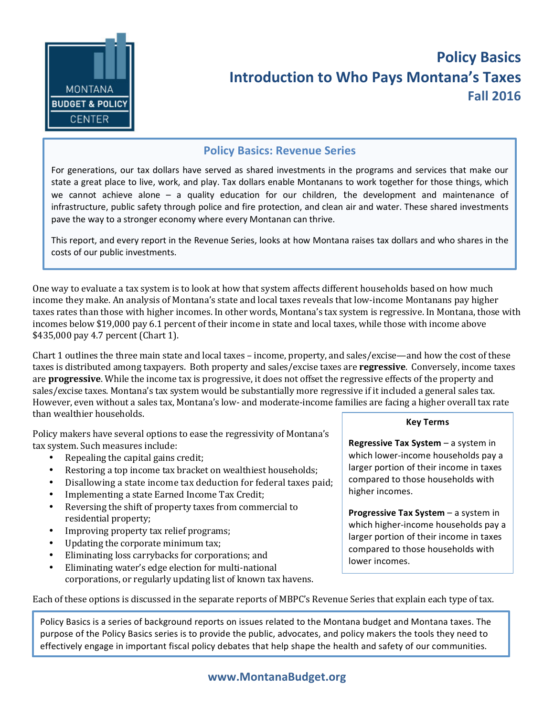

## **Policy Basics Introduction to Who Pays Montana's Taxes Fall 2016**

## **Policy Basics: Revenue Series**

For generations, our tax dollars have served as shared investments in the programs and services that make our state a great place to live, work, and play. Tax dollars enable Montanans to work together for those things, which we cannot achieve alone  $-$  a quality education for our children, the development and maintenance of infrastructure, public safety through police and fire protection, and clean air and water. These shared investments pave the way to a stronger economy where every Montanan can thrive.

This report, and every report in the Revenue Series, looks at how Montana raises tax dollars and who shares in the costs of our public investments.

One way to evaluate a tax system is to look at how that system affects different households based on how much income they make. An analysis of Montana's state and local taxes reveals that low-income Montanans pay higher taxes rates than those with higher incomes. In other words, Montana's tax system is regressive. In Montana, those with incomes below \$19,000 pay 6.1 percent of their income in state and local taxes, while those with income above \$435,000 pay 4.7 percent (Chart 1).

Chart 1 outlines the three main state and local taxes – income, property, and sales/excise—and how the cost of these taxes is distributed among taxpayers. Both property and sales/excise taxes are **regressive**. Conversely, income taxes are **progressive**. While the income tax is progressive, it does not offset the regressive effects of the property and sales/excise taxes. Montana's tax system would be substantially more regressive if it included a general sales tax. However, even without a sales tax, Montana's low- and moderate-income families are facing a higher overall tax rate than wealthier households.

Policy makers have several options to ease the regressivity of Montana's tax system. Such measures include:

- Repealing the capital gains credit;
- Restoring a top income tax bracket on wealthiest households;
- Disallowing a state income tax deduction for federal taxes paid;
- Implementing a state Earned Income Tax Credit;
- Reversing the shift of property taxes from commercial to residential property;
- Improving property tax relief programs;
- Updating the corporate minimum tax;
- Eliminating loss carrybacks for corporations; and
- Eliminating water's edge election for multi-national corporations, or regularly updating list of known tax havens.

## **Key Terms**

**Regressive Tax System** – a system in which lower-income households pay a larger portion of their income in taxes compared to those households with higher incomes.

**Progressive Tax System – a system in** which higher-income households pay a larger portion of their income in taxes compared to those households with lower incomes.

Each of these options is discussed in the separate reports of MBPC's Revenue Series that explain each type of tax.

Policy Basics is a series of background reports on issues related to the Montana budget and Montana taxes. The purpose of the Policy Basics series is to provide the public, advocates, and policy makers the tools they need to effectively engage in important fiscal policy debates that help shape the health and safety of our communities.

## **www.MontanaBudget.org**